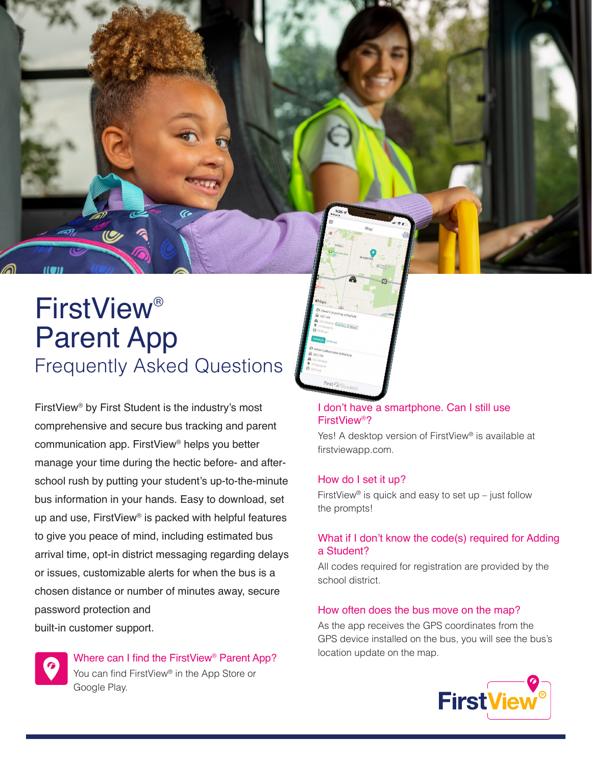# FirstView® Parent App Frequently Asked Questions

FirstView® by First Student is the industry's most comprehensive and secure bus tracking and parent communication app. FirstView® helps you better manage your time during the hectic before- and afterschool rush by putting your student's up-to-the-minute bus information in your hands. Easy to download, set up and use, FirstView® is packed with helpful features to give you peace of mind, including estimated bus arrival time, opt-in district messaging regarding delays or issues, customizable alerts for when the bus is a chosen distance or number of minutes away, secure password protection and built-in customer support.



Where can I find the FirstView® Parent App? You can find FirstView® in the App Store or Google Play.

## I don't have a smartphone. Can I still use FirstView®?

Yes! A desktop version of FirstView® is available at firstviewapp.com.

#### How do I set it up?

FirstView<sup>®</sup> is quick and easy to set up – just follow the prompts!

### What if I don't know the code(s) required for Adding a Student?

All codes required for registration are provided by the school district.

#### How often does the bus move on the map?

As the app receives the GPS coordinates from the GPS device installed on the bus, you will see the bus's location update on the map.